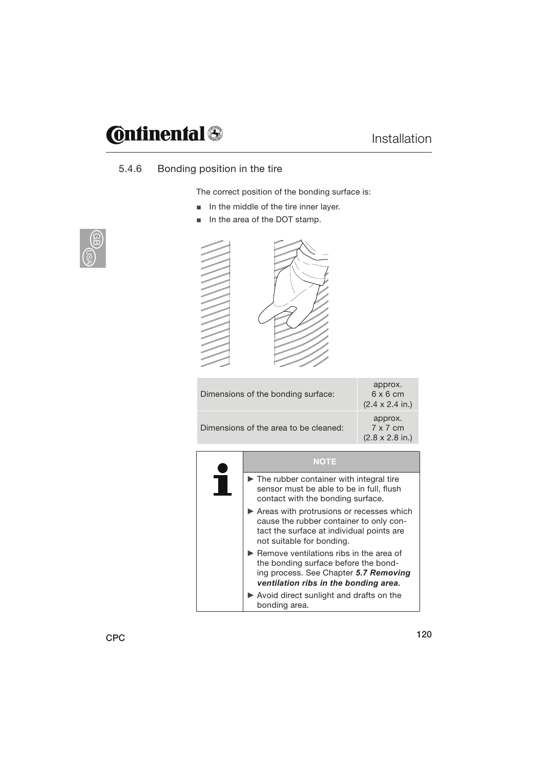# **Continental**

### Installation

### 5.4.6 Bonding position in the tire

The correct position of the bonding surface is:

- $\blacksquare$  In the middle of the tire inner layer.
- In the area of the DOT stamp.



| c<br>c<br>€<br>c<br>c<br>c<br>c<br>c<br>c<br>c<br>c<br>c<br>c<br>c<br>c<br>c<br>c<br>╱<br>⋍ | s<br>s<br>s<br>s<br>s<br>s<br>P<br>N<br>₽<br>◢<br>- |
|---------------------------------------------------------------------------------------------|-----------------------------------------------------|
|                                                                                             |                                                     |
|                                                                                             |                                                     |

| Dimensions of the bonding surface:    | approx.<br>$6 \times 6$ cm<br>$(2.4 \times 2.4 \text{ in.})$ |
|---------------------------------------|--------------------------------------------------------------|
| Dimensions of the area to be cleaned: | approx.<br>$7 \times 7$ cm<br>$(2.8 \times 2.8 \text{ in.})$ |

| NOTE                                                                                                                                                                                    |
|-----------------------------------------------------------------------------------------------------------------------------------------------------------------------------------------|
| $\blacktriangleright$ The rubber container with integral tire<br>sensor must be able to be in full, flush<br>contact with the bonding surface.                                          |
| Areas with protrusions or recesses which<br>cause the rubber container to only con-<br>tact the surface at individual points are<br>not suitable for bonding.                           |
| $\blacktriangleright$ Remove ventilations ribs in the area of<br>the bonding surface before the bond-<br>ing process. See Chapter 5.7 Removing<br>ventilation ribs in the bonding area. |
| $\triangleright$ Avoid direct sunlight and drafts on the<br>bonding area.                                                                                                               |

CPC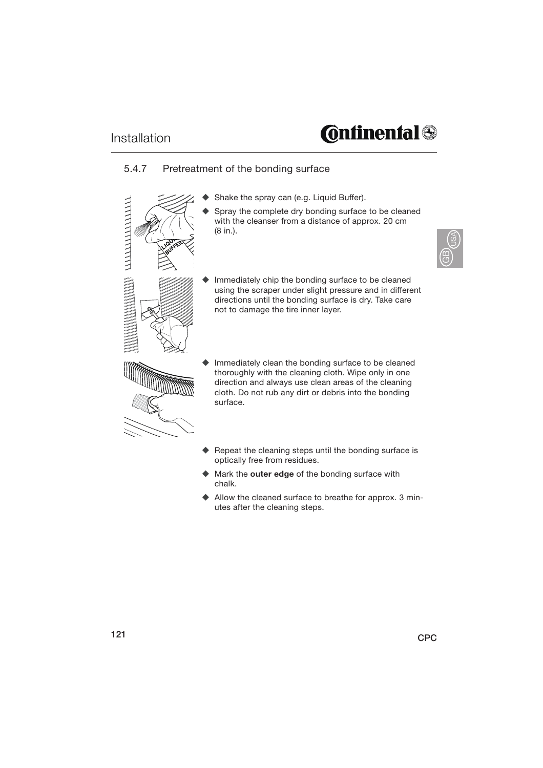# **Continental**

#### 5.4.7 Pretreatment of the bonding surface



- Shake the spray can (e.g. Liquid Buffer).
- Spray the complete dry bonding surface to be cleaned with the cleanser from a distance of approx. 20 cm (8 in.).



- Immediately chip the bonding surface to be cleaned using the scraper under slight pressure and in different directions until the bonding surface is dry. Take care not to damage the tire inner layer.
- Immediately clean the bonding surface to be cleaned thoroughly with the cleaning cloth. Wipe only in one direction and always use clean areas of the cleaning cloth. Do not rub any dirt or debris into the bonding surface.
- $\blacklozenge$  Repeat the cleaning steps until the bonding surface is optically free from residues.
- Mark the **outer edge** of the bonding surface with chalk.
- Allow the cleaned surface to breathe for approx. 3 minutes after the cleaning steps.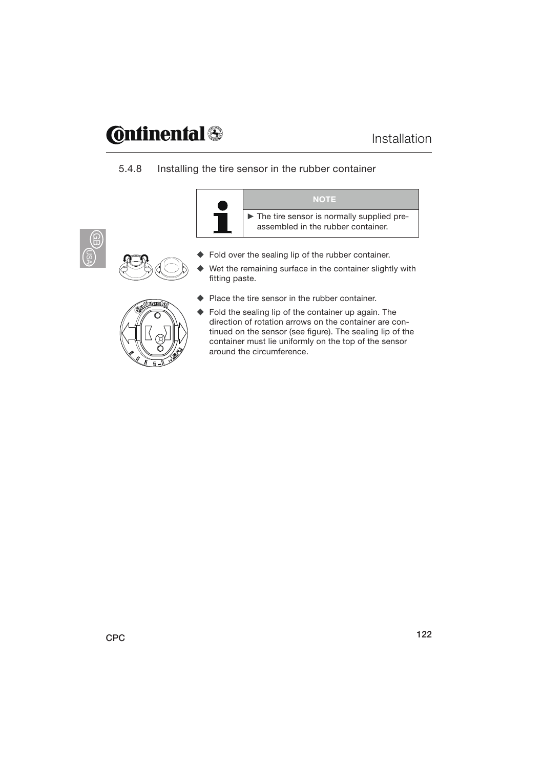# **C**onfinental @

#### 5.4.8 Installing the tire sensor in the rubber container





- ◆ Fold over the sealing lip of the rubber container.
- Wet the remaining surface in the container slightly with fitting paste.



- ◆ Place the tire sensor in the rubber container.
- tinued on the sensor (see figure). The sealing lip of the Fold the sealing lip of the container up again. The direction of rotation arrows on the container are concontainer must lie uniformly on the top of the sensor around the circumference.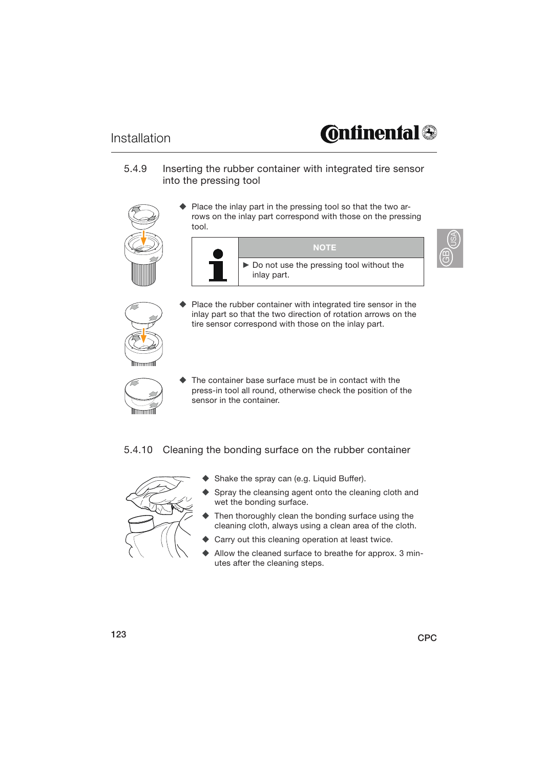#### Installation

## **Continental**

රි)<br>ප

5.4.9 Inserting the rubber container with integrated tire sensor into the pressing tool



 Place the inlay part in the pressing tool so that the two arrows on the inlay part correspond with those on the pressing tool.





- Place the rubber container with integrated tire sensor in the inlay part so that the two direction of rotation arrows on the tire sensor correspond with those on the inlay part.
- The container base surface must be in contact with the press-in tool all round, otherwise check the position of the sensor in the container.

5.4.10 Cleaning the bonding surface on the rubber container



- Shake the spray can (e.g. Liquid Buffer).
- Spray the cleansing agent onto the cleaning cloth and wet the bonding surface.
- Then thoroughly clean the bonding surface using the cleaning cloth, always using a clean area of the cloth.
- Carry out this cleaning operation at least twice.
- Allow the cleaned surface to breathe for approx. 3 minutes after the cleaning steps.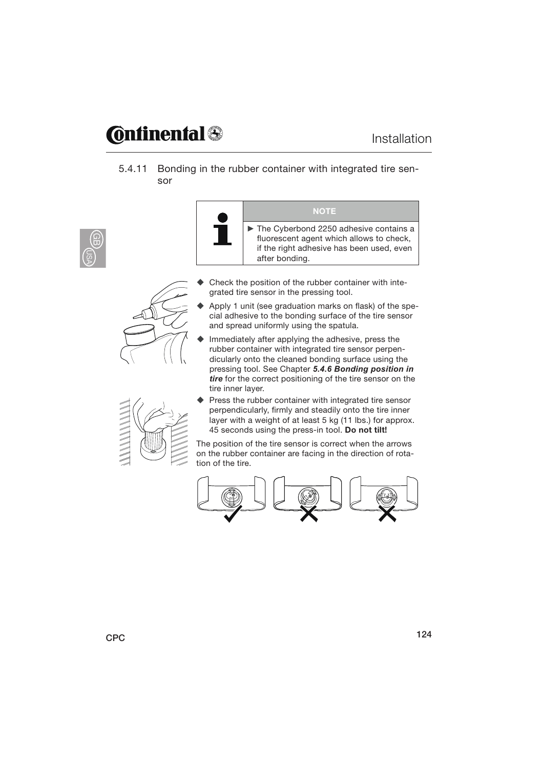### **@nfinenfal@**

5.4.11 Bonding in the rubber container with integrated tire sensor





- **NOTE** The Cyberbond 2250 adhesive contains a fluorescent agent which allows to check, if the right adhesive has been used, even after bonding.
- Check the position of the rubber container with integrated tire sensor in the pressing tool.
- Apply 1 unit (see graduation marks on flask) of the special adhesive to the bonding surface of the tire sensor and spread uniformly using the spatula.
- $\blacklozenge$  Immediately after applying the adhesive, press the rubber container with integrated tire sensor perpendicularly onto the cleaned bonding surface using the pressing tool. See Chapter *5.4.6 Bonding position in tire* for the correct positioning of the tire sensor on the tire inner layer.



 Press the rubber container with integrated tire sensor perpendicularly, firmly and steadily onto the tire inner layer with a weight of at least 5 kg (11 lbs.) for approx. 45 seconds using the press-in tool. **Do not tilt!**

The position of the tire sensor is correct when the arrows on the rubber container are facing in the direction of rotation of the tire.

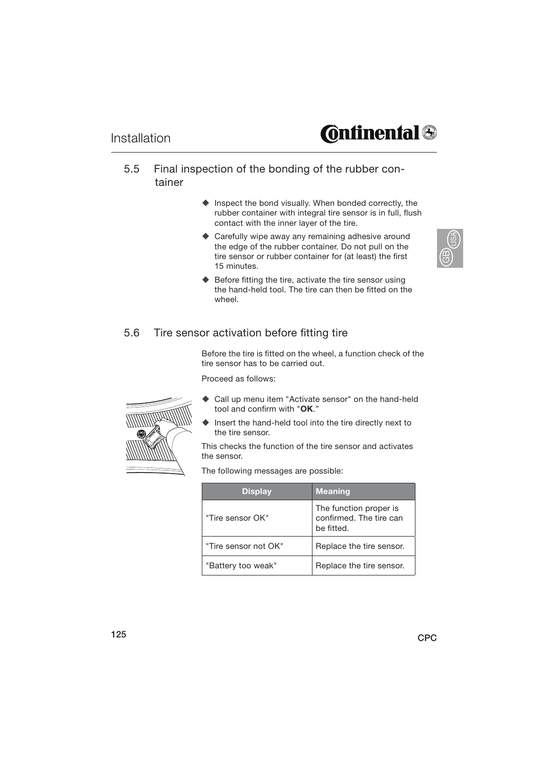#### 5.5 Final inspection of the bonding of the rubber container

- $\blacklozenge$  Inspect the bond visually. When bonded correctly, the rubber container with integral tire sensor is in full, flush contact with the inner layer of the tire.
- ♦ Carefully wipe away any remaining adhesive around the edge of the rubber container. Do not pull on the tire sensor or rubber container for (at least) the first 15 minutes.



 $\blacklozenge$  Before fitting the tire, activate the tire sensor using the hand-held tool. The tire can then be fitted on the wheel.

#### 5.6 Tire sensor activation before fitting tire

Before the tire is fitted on the wheel, a function check of the tire sensor has to be carried out.

Proceed as follows:



- Call up menu item "Activate sensor" on the hand-held tool and confirm with "**OK**."
- Insert the hand-held tool into the tire directly next to the tire sensor.

This checks the function of the tire sensor and activates the sensor.

The following messages are possible:

| <b>Display</b>       | <b>Meaning</b>                                                  |
|----------------------|-----------------------------------------------------------------|
| "Tire sensor OK"     | The function proper is<br>confirmed. The tire can<br>be fitted. |
| "Tire sensor not OK" | Replace the tire sensor.                                        |
| "Battery too weak"   | Replace the tire sensor.                                        |